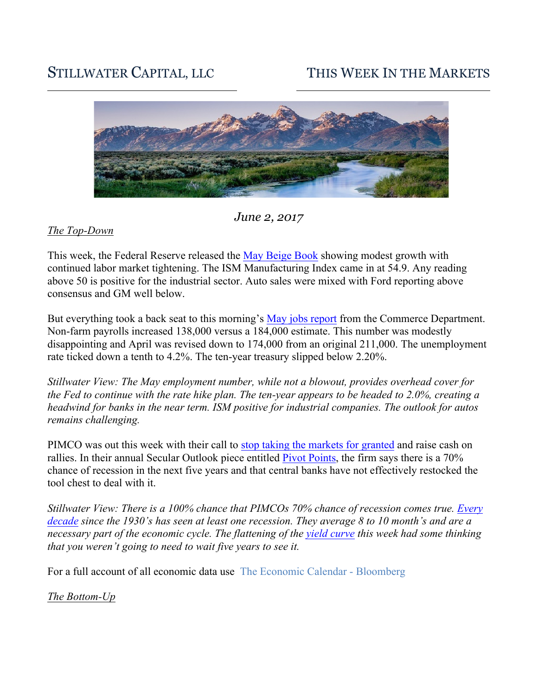# STILLWATER CAPITAL, LLC THIS WEEK IN THE MARKETS



*June 2, 2017*

#### *The Top-Down*

This week, the Federal Reserve released the May Beige Book showing modest growth with continued labor market tightening. The ISM Manufacturing Index came in at 54.9. Any reading above 50 is positive for the industrial sector. Auto sales were mixed with Ford reporting above consensus and GM well below.

But everything took a back seat to this morning's May jobs report from the Commerce Department. Non-farm payrolls increased 138,000 versus a 184,000 estimate. This number was modestly disappointing and April was revised down to 174,000 from an original 211,000. The unemployment rate ticked down a tenth to 4.2%. The ten-year treasury slipped below 2.20%.

*Stillwater View: The May employment number, while not a blowout, provides overhead cover for the Fed to continue with the rate hike plan. The ten-year appears to be headed to 2.0%, creating a headwind for banks in the near term. ISM positive for industrial companies. The outlook for autos remains challenging.* 

PIMCO was out this week with their call to stop taking the markets for granted and raise cash on rallies. In their annual Secular Outlook piece entitled Pivot Points, the firm says there is a 70% chance of recession in the next five years and that central banks have not effectively restocked the tool chest to deal with it.

*Stillwater View: There is a 100% chance that PIMCOs 70% chance of recession comes true. Every decade since the 1930's has seen at least one recession. They average 8 to 10 month's and are a necessary part of the economic cycle. The flattening of the yield curve this week had some thinking that you weren't going to need to wait five years to see it.* 

For a full account of all economic data use The Economic Calendar - Bloomberg

*The Bottom-Up*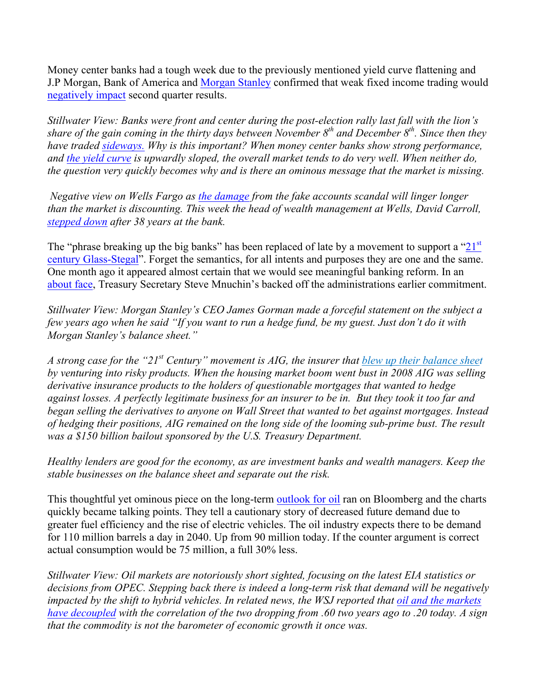Money center banks had a tough week due to the previously mentioned yield curve flattening and J.P Morgan, Bank of America and Morgan Stanley confirmed that weak fixed income trading would negatively impact second quarter results.

*Stillwater View: Banks were front and center during the post-election rally last fall with the lion's share of the gain coming in the thirty days between November 8th and December 8th. Since then they have traded sideways. Why is this important? When money center banks show strong performance, and the yield curve is upwardly sloped, the overall market tends to do very well. When neither do, the question very quickly becomes why and is there an ominous message that the market is missing.* 

*Negative view on Wells Fargo as the damage from the fake accounts scandal will linger longer than the market is discounting. This week the head of wealth management at Wells, David Carroll, stepped down after 38 years at the bank.*

The "phrase breaking up the big banks" has been replaced of late by a movement to support a " $21<sup>st</sup>$ century Glass-Stegal". Forget the semantics, for all intents and purposes they are one and the same. One month ago it appeared almost certain that we would see meaningful banking reform. In an about face, Treasury Secretary Steve Mnuchin's backed off the administrations earlier commitment.

*Stillwater View: Morgan Stanley's CEO James Gorman made a forceful statement on the subject a few years ago when he said "If you want to run a hedge fund, be my guest. Just don't do it with Morgan Stanley's balance sheet."* 

*A strong case for the "21st Century" movement is AIG, the insurer that blew up their balance sheet by venturing into risky products. When the housing market boom went bust in 2008 AIG was selling derivative insurance products to the holders of questionable mortgages that wanted to hedge against losses. A perfectly legitimate business for an insurer to be in. But they took it too far and began selling the derivatives to anyone on Wall Street that wanted to bet against mortgages. Instead of hedging their positions, AIG remained on the long side of the looming sub-prime bust. The result was a \$150 billion bailout sponsored by the U.S. Treasury Department.* 

*Healthy lenders are good for the economy, as are investment banks and wealth managers. Keep the stable businesses on the balance sheet and separate out the risk.* 

This thoughtful yet ominous piece on the long-term outlook for oil ran on Bloomberg and the charts quickly became talking points. They tell a cautionary story of decreased future demand due to greater fuel efficiency and the rise of electric vehicles. The oil industry expects there to be demand for 110 million barrels a day in 2040. Up from 90 million today. If the counter argument is correct actual consumption would be 75 million, a full 30% less.

*Stillwater View: Oil markets are notoriously short sighted, focusing on the latest EIA statistics or decisions from OPEC. Stepping back there is indeed a long-term risk that demand will be negatively impacted by the shift to hybrid vehicles. In related news, the WSJ reported that oil and the markets have decoupled with the correlation of the two dropping from .60 two years ago to .20 today. A sign that the commodity is not the barometer of economic growth it once was.*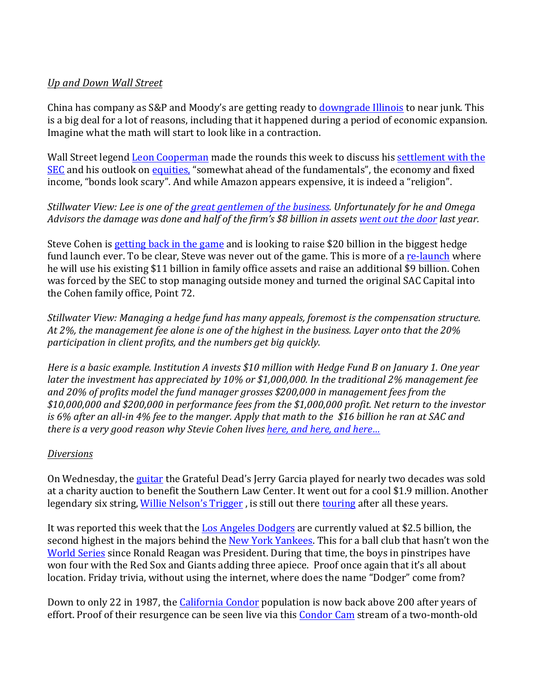## *Up and Down Wall Street*

China has company as S&P and Moody's are getting ready to downgrade Illinois to near junk. This is a big deal for a lot of reasons, including that it happened during a period of economic expansion. Imagine what the math will start to look like in a contraction.

Wall Street legend **Leon Cooperman** made the rounds this week to discuss his **settlement** with the SEC and his outlook on equities, "somewhat ahead of the fundamentals", the economy and fixed income, "bonds look scary". And while Amazon appears expensive, it is indeed a "religion".

## *Stillwater View: Lee is one of the great gentlemen of the business. Unfortunately for he and Omega Advisors* the damage was done and half of the firm's \$8 billion in assets went out the door last year.

Steve Cohen is getting back in the game and is looking to raise \$20 billion in the biggest hedge fund launch ever. To be clear, Steve was never out of the game. This is more of a re-launch where he will use his existing \$11 billion in family office assets and raise an additional \$9 billion. Cohen was forced by the SEC to stop managing outside money and turned the original SAC Capital into the Cohen family office, Point 72.

*Stillwater View: Managing a hedge fund has many appeals, foremost is the compensation structure.* At 2%, the management fee alone is one of the highest in the business. Layer onto that the 20% *participation* in client profits, and the numbers get big quickly.

*Here* is a basic example. Institution A invests \$10 million with Hedge Fund B on January 1. One year *later the investment has appreciated by 10% or \$1,000,000. In the traditional 2% management fee* and 20% of profits model the fund manager grosses \$200,000 in management fees from the *\$10,000,000 and \$200,000 in performance fees from the \$1,000,000 profit. Net return to the investor is* 6% after an all-in 4% fee to the manger. Apply that math to the \$16 billion he ran at SAC and *there is a very good reason why Stevie Cohen lives here, and here, and here...* 

#### *Diversions*

On Wednesday, the guitar the Grateful Dead's Jerry Garcia played for nearly two decades was sold at a charity auction to benefit the Southern Law Center. It went out for a cool \$1.9 million. Another legendary six string, Willie Nelson's Trigger, is still out there touring after all these years.

It was reported this week that the Los Angeles Dodgers are currently valued at \$2.5 billion, the second highest in the majors behind the New York Yankees. This for a ball club that hasn't won the World Series since Ronald Reagan was President. During that time, the boys in pinstripes have won four with the Red Sox and Giants adding three apiece. Proof once again that it's all about location. Friday trivia, without using the internet, where does the name "Dodger" come from?

Down to only 22 in 1987, the California Condor population is now back above 200 after years of effort. Proof of their resurgence can be seen live via this Condor Cam stream of a two-month-old